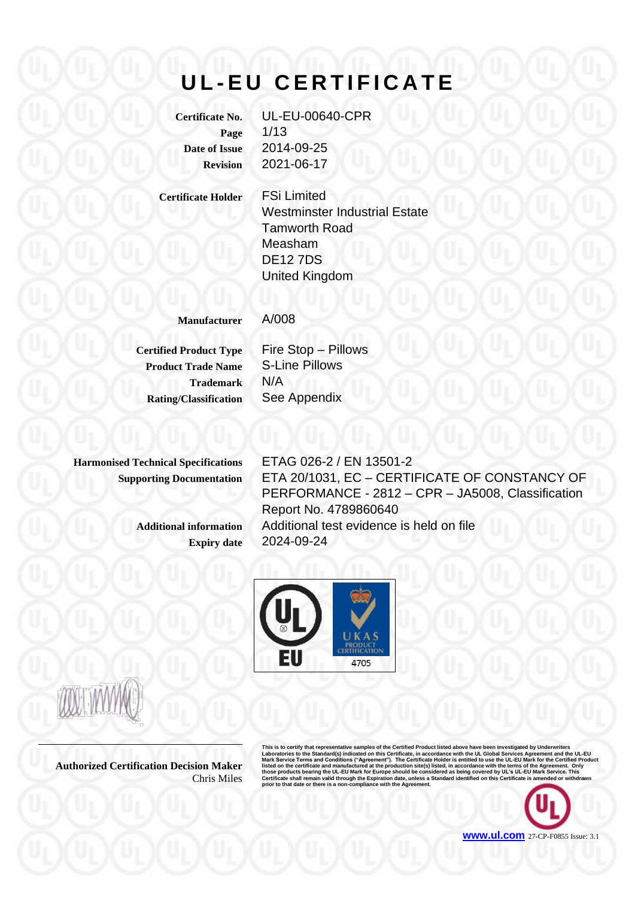# **U L - E U C E R T I F I C A T E**

**Certificate No.** UL-EU-00640-CPR **Page** 1/13 **Date of Issue** 2014-09-25 **Revision** 2021-06-17

**Certificate Holder** FSi Limited Westminster Industrial Estate Tamworth Road Measham DE12 7DS United Kingdom

**Manufacturer** A/008

**Product Trade Name** S-Line Pillows **Trademark** N/A **Rating/Classification** See Appendix

**Certified Product Type** Fire Stop – Pillows

**Harmonised Technical Specifications** ETAG 026-2 / EN 13501-2

**Supporting Documentation** ETA 20/1031, EC – CERTIFICATE OF CONSTANCY OF PERFORMANCE - 2812 – CPR – JA5008, Classification Report No. 4789860640 **Additional information** Additional test evidence is held on file **Expiry date** 2024-09-24



**Authorized Certification Decision Maker** Chris Miles

This is to certify that representative samples of the Certified Product listed above have been investigated by Underwriters<br>Laboratories to the Standard(s) indicated on this Certificate, in accordance with the UL Global Se

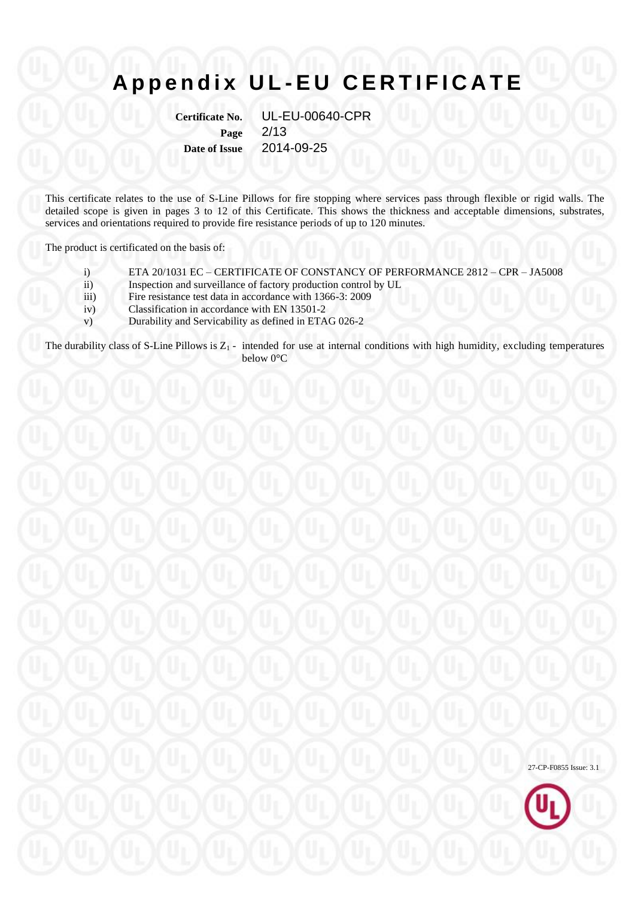**Certificate No.** UL-EU-00640-CPR **Page** 2/13 **Date of Issue** 2014-09-25

This certificate relates to the use of S-Line Pillows for fire stopping where services pass through flexible or rigid walls. The detailed scope is given in pages 3 to 12 of this Certificate. This shows the thickness and acceptable dimensions, substrates, services and orientations required to provide fire resistance periods of up to 120 minutes.

The product is certificated on the basis of:

- i) ETA 20/1031 EC CERTIFICATE OF CONSTANCY OF PERFORMANCE 2812 CPR JA5008
- ii) Inspection and surveillance of factory production control by UL
- iii) Fire resistance test data in accordance with 1366-3: 2009
- iv) Classification in accordance with EN 13501-2
- v) Durability and Servicability as defined in ETAG 026-2

The durability class of S-Line Pillows is  $Z_1$  - intended for use at internal conditions with high humidity, excluding temperatures below 0°C

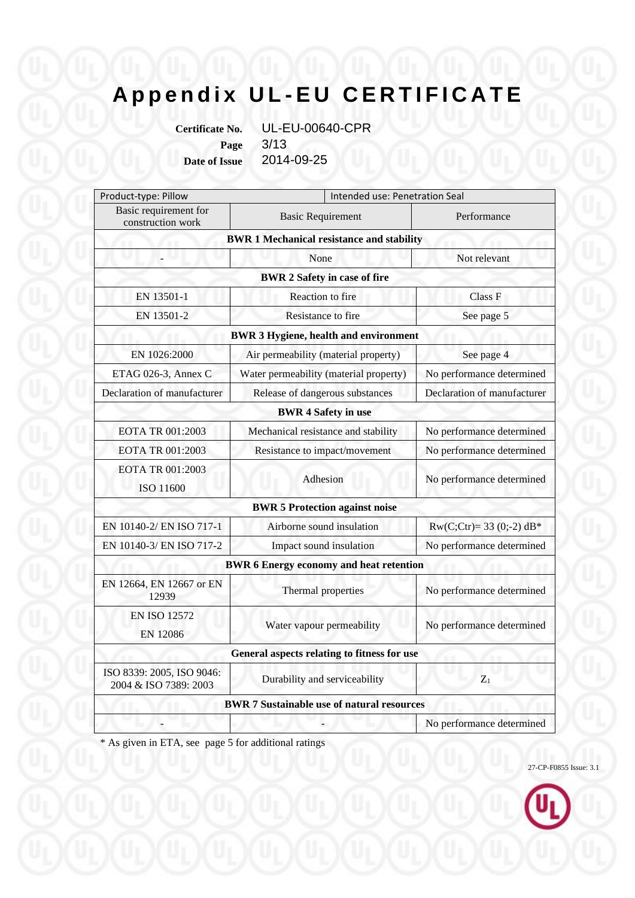**Certificate No.** UL-EU-00640-CPR **Page** 3/13 **Date of Issue** 2014-09-25

Product-type: Pillow Intended use: Penetration Seal Basic requirement for explorement to Basic Requirement Performance<br>
explorement Performance **BWR 1 Mechanical resistance and stability** - None None Not relevant **BWR 2 Safety in case of fire** EN 13501-1 Reaction to fire Class F EN 13501-2 Resistance to fire See page 5 **BWR 3 Hygiene, health and environment** EN 1026:2000 Air permeability (material property) See page 4 ETAG 026-3, Annex C Water permeability (material property) No performance determined Declaration of manufacturer Release of dangerous substances Declaration of manufacturer **BWR 4 Safety in use** EOTA TR 001:2003 Mechanical resistance and stability No performance determined EOTA TR 001:2003 Resistance to impact/movement No performance determined EOTA TR 001:2003 ISO 11600 Adhesion No performance determined **BWR 5 Protection against noise** EN 10140-2/ EN ISO 717-1 Airborne sound insulation Rw(C;Ctr)= 33 (0;-2) dB\* EN 10140-3/ EN ISO 717-2 Impact sound insulation No performance determined **BWR 6 Energy economy and heat retention** EN 12664, EN 12667 or EN 12939 Thermal properties No performance determined EN ISO 12572 EN 12086 Water vapour permeability No performance determined **General aspects relating to fitness for use** ISO 8339: 2005, ISO 9046:  $2004 \& \text{ISO } 7389: 2003$  Durability and serviceability  $Z_1$ **BWR 7 Sustainable use of natural resources** No performance determined

\* As given in ETA, see page 5 for additional ratings

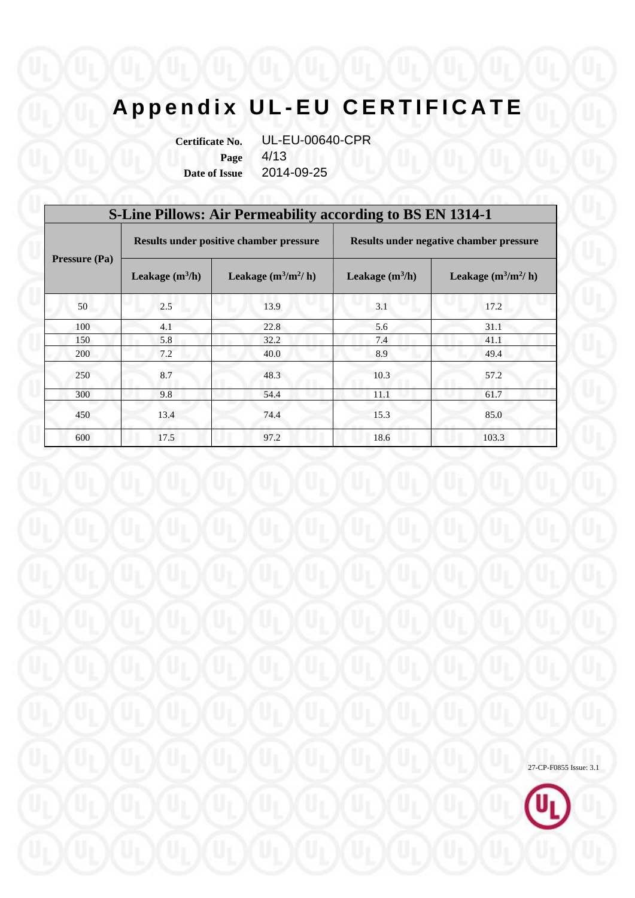**Certificate No.** UL-EU-00640-CPR **Page** 4/13 **Date of Issue** 2014-09-25

| <b>S-Line Pillows: Air Permeability according to BS EN 1314-1</b> |                   |                                         |                                         |                       |  |  |
|-------------------------------------------------------------------|-------------------|-----------------------------------------|-----------------------------------------|-----------------------|--|--|
| <b>Pressure (Pa)</b>                                              |                   | Results under positive chamber pressure | Results under negative chamber pressure |                       |  |  |
|                                                                   | Leakage $(m^3/h)$ | Leakage $(m^3/m^2/h)$                   | Leakage $(m^3/h)$                       | Leakage $(m^3/m^2/h)$ |  |  |
| 50                                                                | 2.5               | 13.9                                    | 3.1                                     | 17.2                  |  |  |
| 100                                                               | 4.1               | 22.8                                    | 5.6                                     | 31.1                  |  |  |
| 150                                                               | 5.8               | 32.2                                    | 7.4                                     | 41.1                  |  |  |
| 200                                                               | 7.2               | 40.0                                    | 8.9                                     | 49.4                  |  |  |
| 250                                                               | 8.7               | 48.3                                    | 10.3                                    | 57.2                  |  |  |
| 300                                                               | 9.8               | 54.4                                    | 11.1                                    | 61.7                  |  |  |
| 450                                                               | 13.4              | 74.4                                    | 15.3                                    | 85.0                  |  |  |
| 600                                                               | 17.5              | 97.2                                    | 18.6                                    | 103.3                 |  |  |

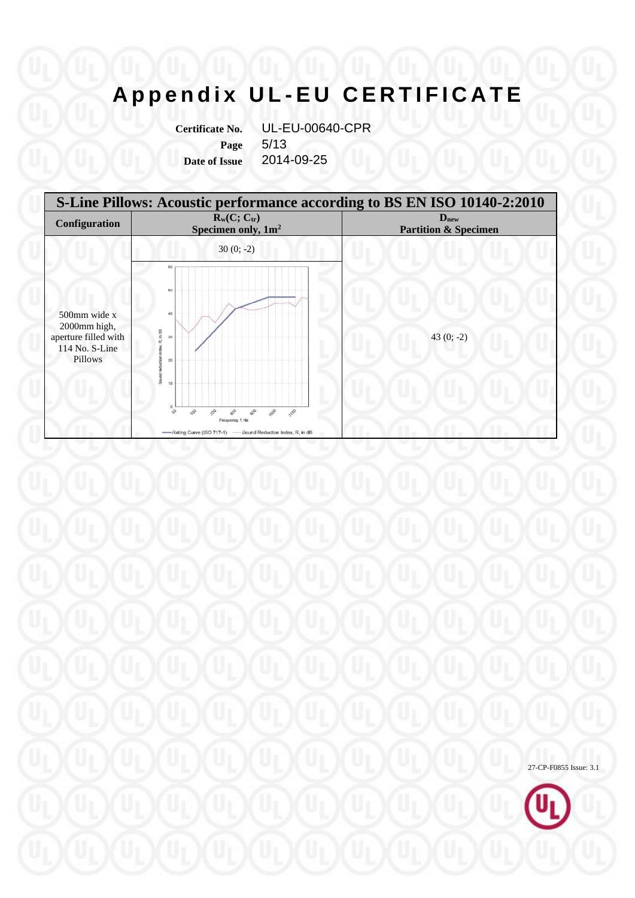**Page** 5/13

**Certificate No.** UL-EU-00640-CPR **Date of Issue** 2014-09-25



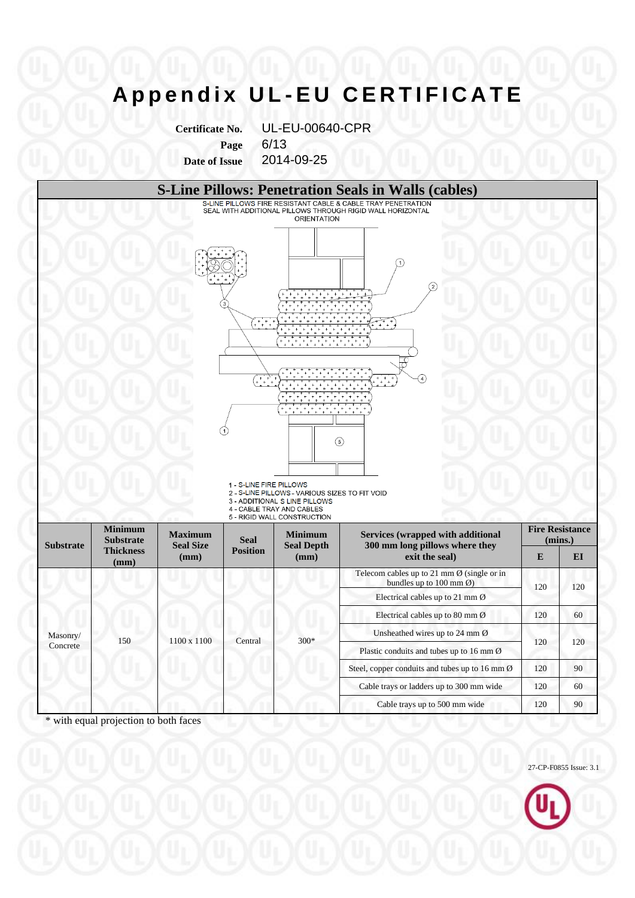**Certificate No.** UL-EU-00640-CPR **Page** 6/13 **Date of Issue** 2014-09-25



\* with equal projection to both faces

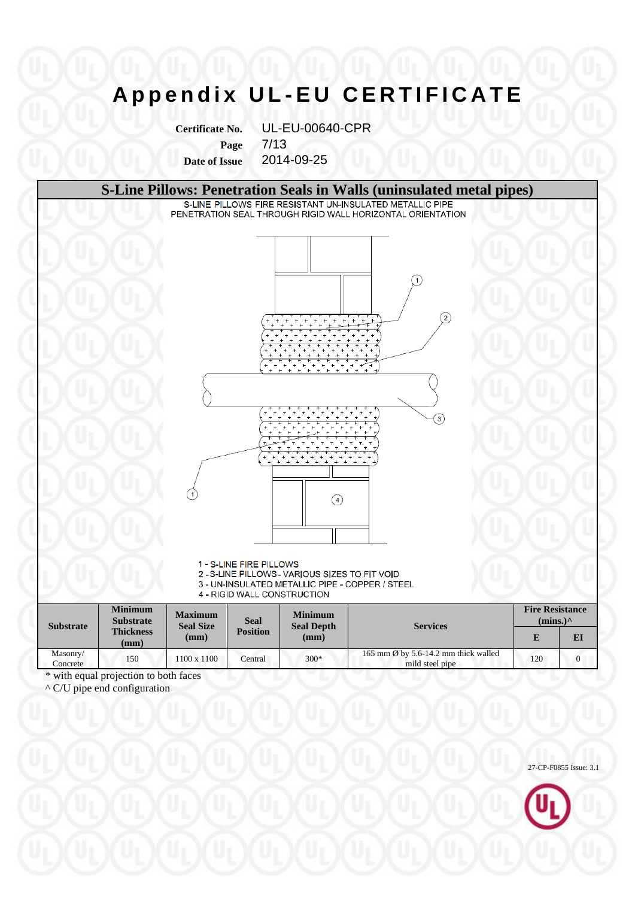**Certificate No.** UL-EU-00640-CPR **Page** 7/13

**Date of Issue** 2014-09-25

#### **S-Line Pillows: Penetration Seals in Walls (uninsulated metal pipes)**<br>S-LINE PILLOWS FIRE RESISTANT UN-INSULATED METALLIC PIPE

PENETRATION SEAL THROUGH RIGID WALL HORIZONTAL ORIENTATION



1 - S-LINE FIRE PILLOWS

2 - S-LINE PILLOWS - VARIOUS SIZES TO FIT VOID

3 - UN-INSULATED METALLIC PIPE - COPPER / STEEL

4 - RIGID WALL CONSTRUCTION

| <b>Substrate</b>     | <b>Minimum</b><br><b>Substrate</b> | <b>Maximum</b><br><b>Seal Size</b><br>(mm) | <b>Seal</b>     | <b>Minimum</b><br><b>Seal Depth</b><br>(mm) | <b>Services</b>                                                   | <b>Fire Resistance</b><br>$(mins.)^{\wedge}$ |    |
|----------------------|------------------------------------|--------------------------------------------|-----------------|---------------------------------------------|-------------------------------------------------------------------|----------------------------------------------|----|
|                      | <b>Thickness</b><br>(mm)           |                                            | <b>Position</b> |                                             |                                                                   |                                              | EI |
| Masonry/<br>Concrete | 150                                | 1100 x 1100                                | Central         | $300*$                                      | 165 mm $\emptyset$ by 5.6-14.2 mm thick walled<br>mild steel pipe | 120                                          |    |
| .                    |                                    | $\sim$ $\sim$                              |                 |                                             |                                                                   |                                              |    |

\* with equal projection to both faces

 $\wedge$  C/U pipe end configuration

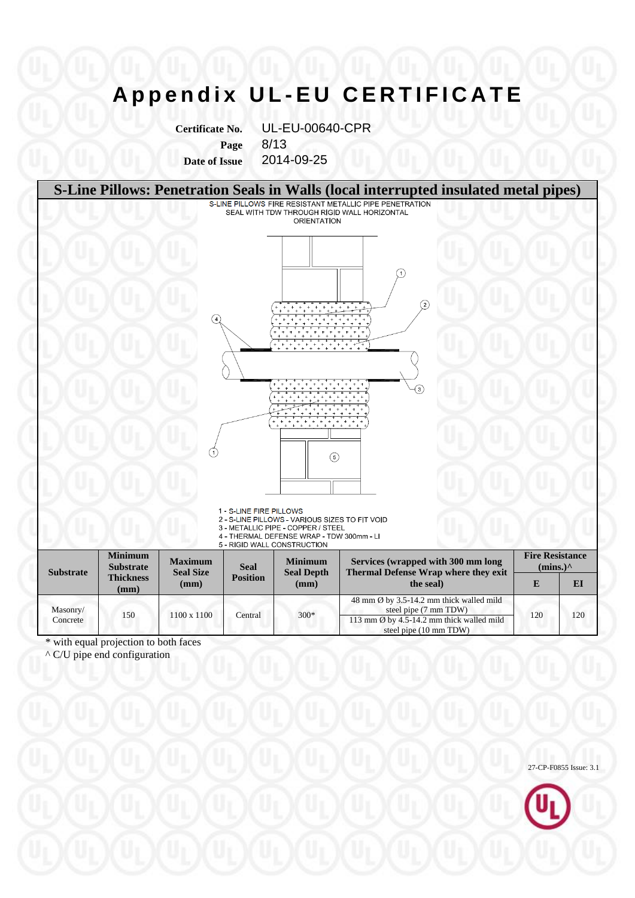**Certificate No.** UL-EU-00640-CPR **Page** 8/13

**Date of Issue** 2014-09-25



^ C/U pipe end configuration

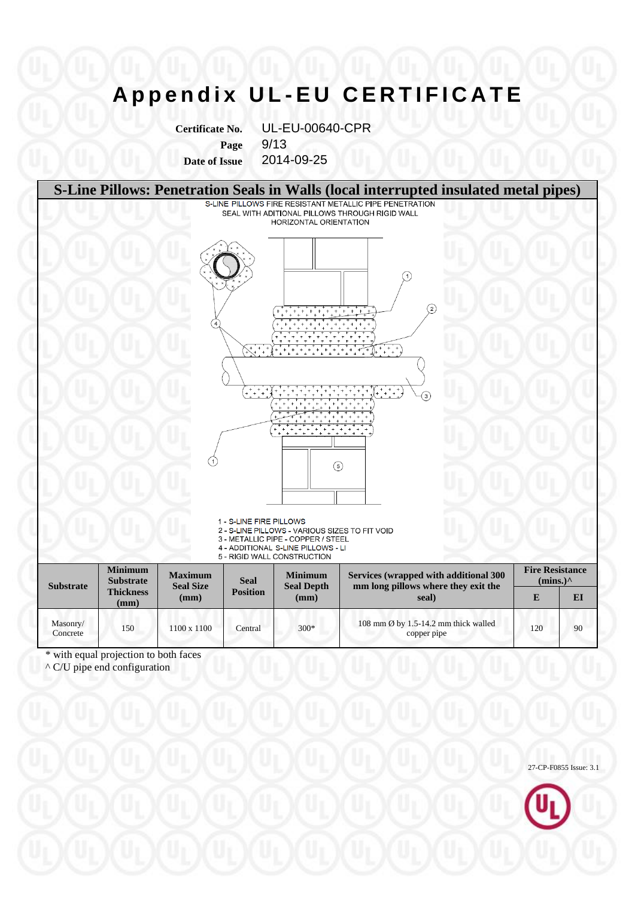**Certificate No.** UL-EU-00640-CPR **Page** 9/13 **Date of Issue** 2014-09-25



\* with equal projection to both faces

^ C/U pipe end configuration

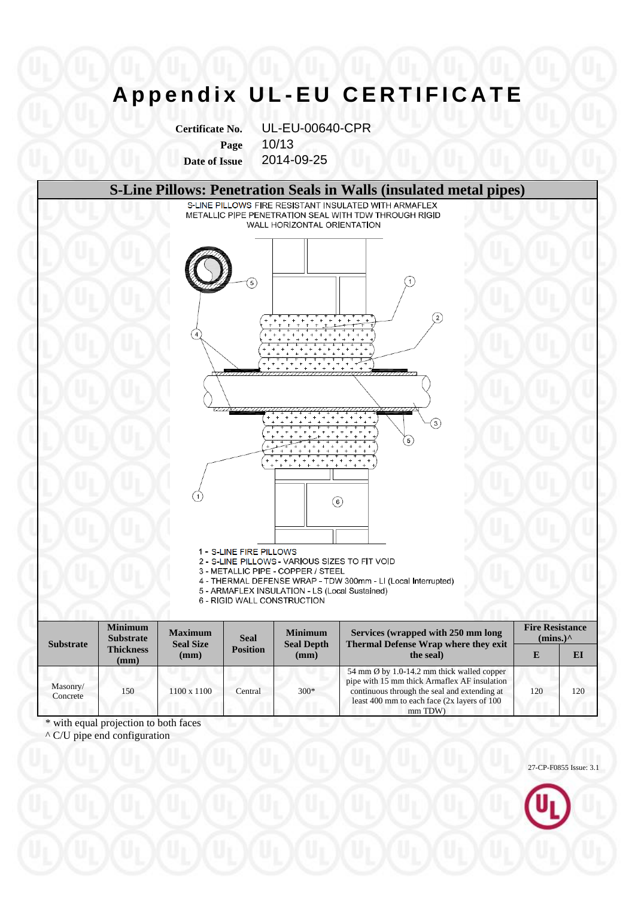**Certificate No.** UL-EU-00640-CPR **Page** 10/13 **Date of Issue** 2014-09-25

### **S-Line Pillows: Penetration Seals in Walls (insulated metal pipes)**

METALLIC PIPE PENETRATION SEAL WITH TDW THROUGH RIGID WALL HORIZONTAL ORIENTATION



- 1 S-LINE FIRE PILLOWS
- 2 S-LINE PILLOWS VARIOUS SIZES TO FIT VOID
- 3 METALLIC PIPE COPPER / STEEL
- 4 THERMAL DEFENSE WRAP TDW 300mm LI (Local Interrupted)
- 5 ARMAFLEX INSULATION LS (Local Sustained)
- 6 RIGID WALL CONSTRUCTION

| <b>Substrate</b>     | <b>Minimum</b><br><b>Substrate</b><br><b>Thickness</b><br>(mm) | <b>Maximum</b><br><b>Seal Size</b><br>(mm) | <b>Seal</b><br><b>Position</b> | <b>Minimum</b><br><b>Seal Depth</b><br>(mm) | Services (wrapped with 250 mm long<br>Thermal Defense Wrap where they exit                                                                                                                                       | <b>Fire Resistance</b><br>$(mins.)^{\wedge}$ |     |
|----------------------|----------------------------------------------------------------|--------------------------------------------|--------------------------------|---------------------------------------------|------------------------------------------------------------------------------------------------------------------------------------------------------------------------------------------------------------------|----------------------------------------------|-----|
|                      |                                                                |                                            |                                |                                             | the seal)                                                                                                                                                                                                        | E                                            | EI  |
| Masonry/<br>Concrete | 150                                                            | 1100 x 1100                                | Central                        | $300*$                                      | 54 mm $\emptyset$ by 1.0-14.2 mm thick walled copper<br>pipe with 15 mm thick Armaflex AF insulation<br>continuous through the seal and extending at<br>least 400 mm to each face $(2x$ layers of 100<br>mm TDW) | 120                                          | 120 |

\* with equal projection to both faces

^ C/U pipe end configuration

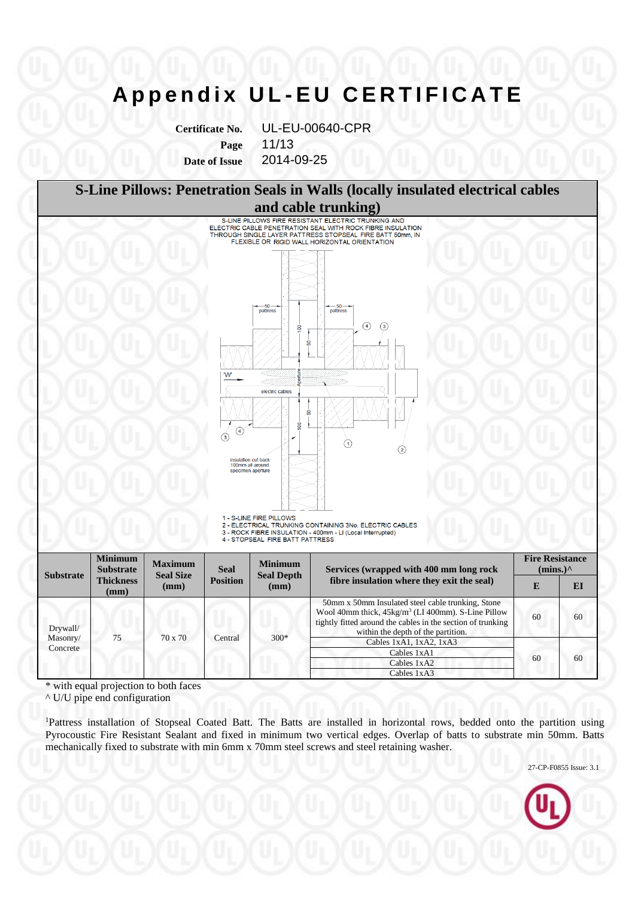**Certificate No.** UL-EU-00640-CPR **Page** 11/13 **Date of Issue** 2014-09-25



\* with equal projection to both faces

^ U/U pipe end configuration

<sup>1</sup>Pattress installation of Stopseal Coated Batt. The Batts are installed in horizontal rows, bedded onto the partition using Pyrocoustic Fire Resistant Sealant and fixed in minimum two vertical edges. Overlap of batts to substrate min 50mm. Batts mechanically fixed to substrate with min 6mm x 70mm steel screws and steel retaining washer.



 $\begin{array}{|c|c|c|c|}\n\hline\n\text{Cables }1 \times \text{A1} & \text{60} \\
\hline\n\text{Cables }1 \times \text{A2} & \text{60}\n\end{array}$ 

Cables 1xA2 Cables 1xA3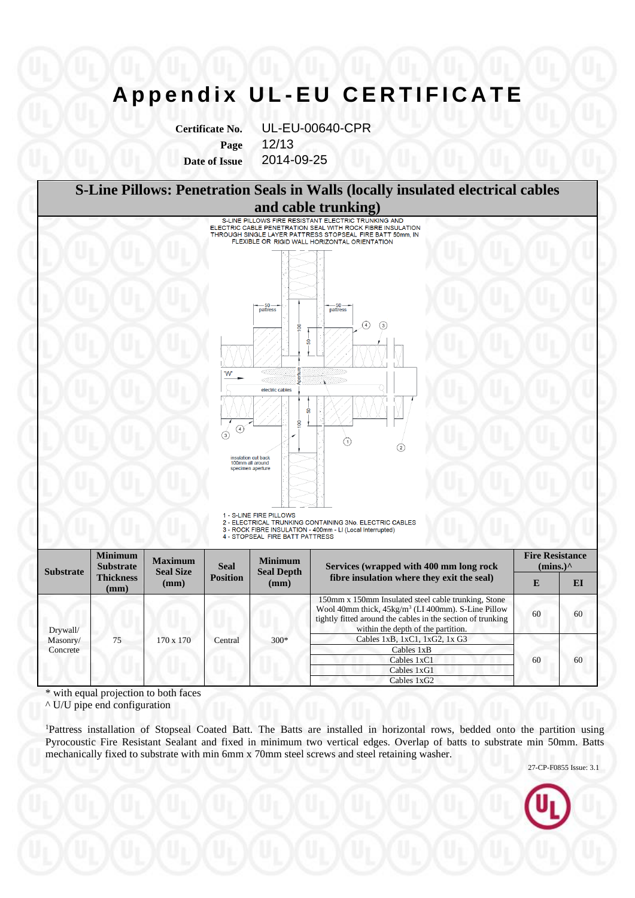**Certificate No.** UL-EU-00640-CPR **Page** 12/13 **Date of Issue** 2014-09-25



\* with equal projection to both faces

75 170 x 170 Central 300\*

^ U/U pipe end configuration

Drywall/ Masonry/ Concrete

<sup>1</sup>Pattress installation of Stopseal Coated Batt. The Batts are installed in horizontal rows, bedded onto the partition using Pyrocoustic Fire Resistant Sealant and fixed in minimum two vertical edges. Overlap of batts to substrate min 50mm. Batts mechanically fixed to substrate with min 6mm x 70mm steel screws and steel retaining washer.

Cables 1xB, 1xC1, 1xG2, 1x G3

Cables 1xB Cables 1xC1 Cables 1xG1 Cables 1xG2

27-CP-F0855 Issue: 3.1

60 60